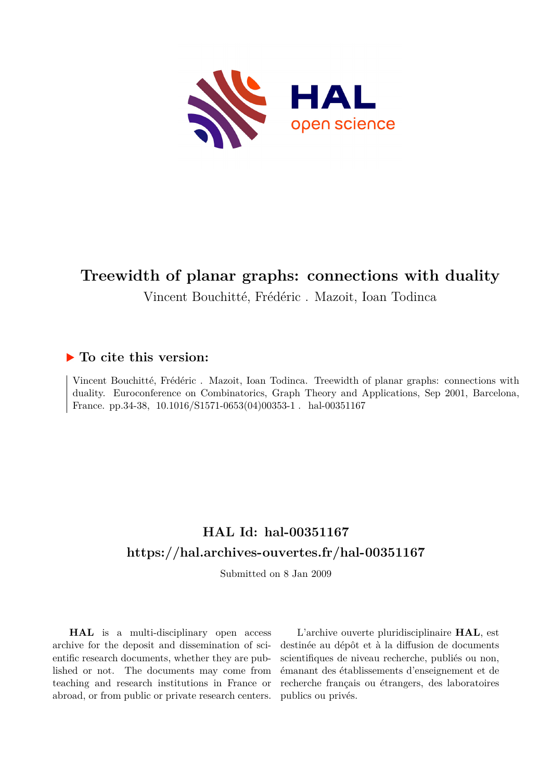

# **Treewidth of planar graphs: connections with duality**

Vincent Bouchitté, Frédéric . Mazoit, Ioan Todinca

## **To cite this version:**

Vincent Bouchitté, Frédéric . Mazoit, Ioan Todinca. Treewidth of planar graphs: connections with duality. Euroconference on Combinatorics, Graph Theory and Applications, Sep 2001, Barcelona, France. pp.34-38,  $10.1016/S1571-0653(04)00353-1$ . hal-00351167

## **HAL Id: hal-00351167 <https://hal.archives-ouvertes.fr/hal-00351167>**

Submitted on 8 Jan 2009

**HAL** is a multi-disciplinary open access archive for the deposit and dissemination of scientific research documents, whether they are published or not. The documents may come from teaching and research institutions in France or abroad, or from public or private research centers.

L'archive ouverte pluridisciplinaire **HAL**, est destinée au dépôt et à la diffusion de documents scientifiques de niveau recherche, publiés ou non, émanant des établissements d'enseignement et de recherche français ou étrangers, des laboratoires publics ou privés.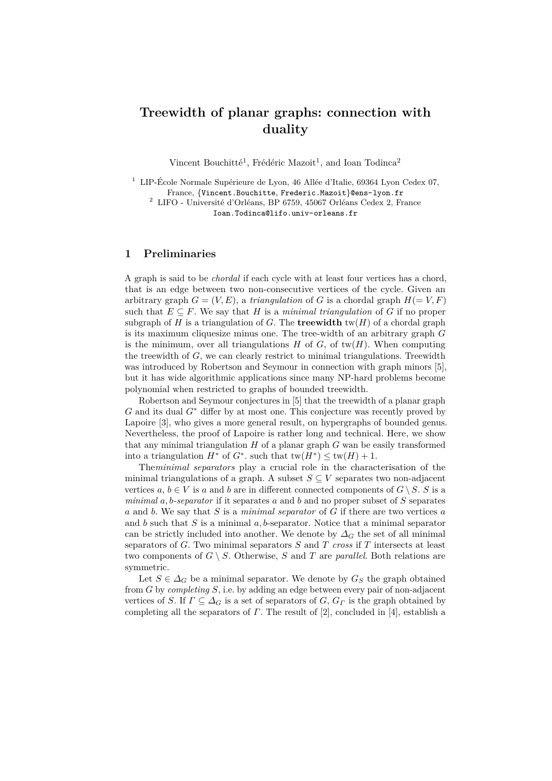## **Treewidth of planar graphs: connection with duality**

Vincent Bouchitté<sup>1</sup>, Frédéric Mazoit<sup>1</sup>, and Ioan Todinca<sup>2</sup>

<sup>1</sup> LIP-École Normale Supérieure de Lyon, 46 Allée d'Italie, 69364 Lyon Cedex 07, France, {Vincent.Bouchitte, Frederic.Mazoit}@ens-lyon.fr

 $^2\,$  LIFO - Université d'Orléans, BP 6759, 45067<br> Orléans Cedex 2, France Ioan.Todinca@lifo.univ-orleans.fr

### **1 Preliminaries**

A graph is said to be *chordal* if each cycle with at least four vertices has a chord, that is an edge between two non-consecutive vertices of the cycle. Given an arbitrary graph  $G = (V, E)$ , a *triangulation* of *G* is a chordal graph  $H (= V, F)$ such that  $E \subseteq F$ . We say that *H* is a *minimal triangulation* of *G* if no proper subgraph of *H* is a triangulation of *G*. The **treewidth**  $\text{tw}(H)$  of a chordal graph is its maximum cliquesize minus one. The tree-width of an arbitrary graph *G* is the minimum, over all triangulations  $H$  of  $G$ , of tw $(H)$ . When computing the treewidth of *G*, we can clearly restrict to minimal triangulations. Treewidth was introduced by Robertson and Seymour in connection with graph minors [5], but it has wide algorithmic applications since many NP-hard problems become polynomial when restricted to graphs of bounded treewidth.

Robertson and Seymour conjectures in [5] that the treewidth of a planar graph *G* and its dual *G<sup>∗</sup>* differ by at most one. This conjecture was recently proved by Lapoire [3], who gives a more general result, on hypergraphs of bounded genus. Nevertheless, the proof of Lapoire is rather long and technical. Here, we show that any minimal triangulation *H* of a planar graph *G* wan be easily transformed into a triangulation  $H^*$  of  $G^*$ . such that  $\text{tw}(H^*) \leq \text{tw}(H) + 1$ .

The*minimal separators* play a crucial role in the characterisation of the minimal triangulations of a graph. A subset  $S \subseteq V$  separates two non-adjacent vertices  $a, b \in V$  is a and b are in different connected components of  $G \setminus S$ . S is a *minimal a, b-separator* if it separates *a* and *b* and no proper subset of *S* separates *a* and *b*. We say that *S* is a *minimal separator* of *G* if there are two vertices *a* and *b* such that *S* is a minimal *a, b*-separator. Notice that a minimal separator can be strictly included into another. We denote by  $\Delta_G$  the set of all minimal separators of *G*. Two minimal separators *S* and *T cross* if *T* intersects at least two components of  $G \setminus S$ . Otherwise, S and T are *parallel*. Both relations are symmetric.

Let  $S \in \Delta_G$  be a minimal separator. We denote by  $G_S$  the graph obtained from *G* by *completing S*, i.e. by adding an edge between every pair of non-adjacent vertices of *S*. If  $\Gamma \subseteq \Delta_G$  is a set of separators of *G*,  $G_{\Gamma}$  is the graph obtained by completing all the separators of *Γ*. The result of [2], concluded in [4], establish a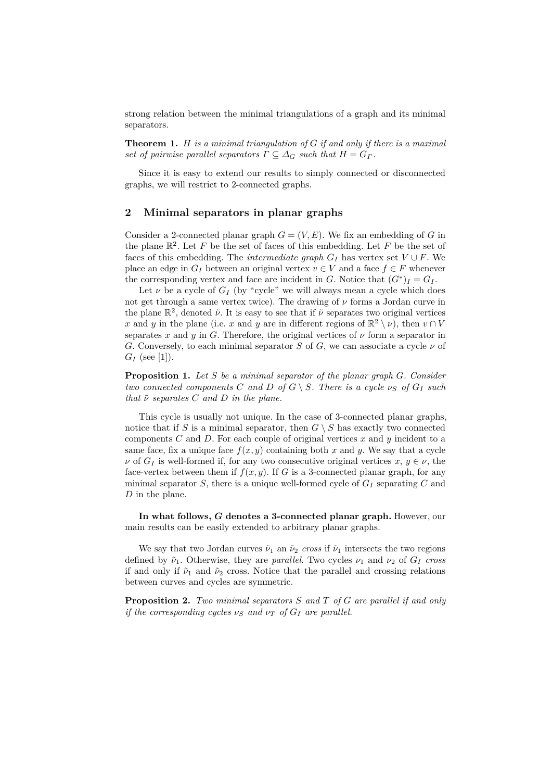strong relation between the minimal triangulations of a graph and its minimal separators.

**Theorem 1.** *H is a minimal triangulation of G if and only if there is a maximal set of pairwise parallel separators*  $\Gamma \subseteq \Delta_G$  *such that*  $H = G_\Gamma$ .

Since it is easy to extend our results to simply connected or disconnected graphs, we will restrict to 2-connected graphs.

#### **2 Minimal separators in planar graphs**

Consider a 2-connected planar graph  $G = (V, E)$ . We fix an embedding of *G* in the plane  $\mathbb{R}^2$ . Let *F* be the set of faces of this embedding. Let *F* be the set of faces of this embedding. The *intermediate graph*  $G_I$  has vertex set  $V \cup F$ . We place an edge in  $G_I$  between an original vertex  $v \in V$  and a face  $f \in F$  whenever the corresponding vertex and face are incident in *G*. Notice that  $(G^*)_I = G_I$ .

Let  $\nu$  be a cycle of  $G_I$  (by "cycle" we will always mean a cycle which does not get through a same vertex twice). The drawing of  $\nu$  forms a Jordan curve in the plane  $\mathbb{R}^2$ , denoted  $\tilde{\nu}$ . It is easy to see that if  $\tilde{\nu}$  separates two original vertices *x* and *y* in the plane (i.e. *x* and *y* are in different regions of  $\mathbb{R}^2 \setminus \nu$ ), then  $v \cap V$ separates *x* and *y* in *G*. Therefore, the original vertices of  $\nu$  form a separator in *G*. Conversely, to each minimal separator *S* of *G*, we can associate a cycle *ν* of  $G_I$  (see [1]).

**Proposition 1.** *Let S be a minimal separator of the planar graph G. Consider two connected components C and D of*  $G \setminus S$ *. There is a cycle*  $\nu_S$  *of*  $G_I$  *such that*  $\tilde{\nu}$  *separates*  $C$  *and*  $D$  *in the plane.* 

This cycle is usually not unique. In the case of 3-connected planar graphs, notice that if *S* is a minimal separator, then  $G \setminus S$  has exactly two connected components *C* and *D*. For each couple of original vertices *x* and *y* incident to a same face, fix a unique face  $f(x, y)$  containing both x and y. We say that a cycle  $\nu$  of  $G_I$  is well-formed if, for any two consecutive original vertices  $x, y \in \nu$ , the face-vertex between them if  $f(x, y)$ . If *G* is a 3-connected planar graph, for any minimal separator *S*, there is a unique well-formed cycle of  $G_I$  separating  $C$  and *D* in the plane.

**In what follows,** *G* **denotes a 3-connected planar graph.** However, our main results can be easily extended to arbitrary planar graphs.

We say that two Jordan curves  $\tilde{\nu}_1$  an  $\tilde{\nu}_2$  *cross* if  $\tilde{\nu}_1$  intersects the two regions defined by  $\tilde{\nu}_1$ . Otherwise, they are *parallel*. Two cycles  $\nu_1$  and  $\nu_2$  of  $G_I$  cross if and only if  $\tilde{\nu}_1$  and  $\tilde{\nu}_2$  cross. Notice that the parallel and crossing relations between curves and cycles are symmetric.

**Proposition 2.** *Two minimal separators S and T of G are parallel if and only if the corresponding cycles*  $\nu_S$  *and*  $\nu_T$  *of*  $G_I$  *are parallel.*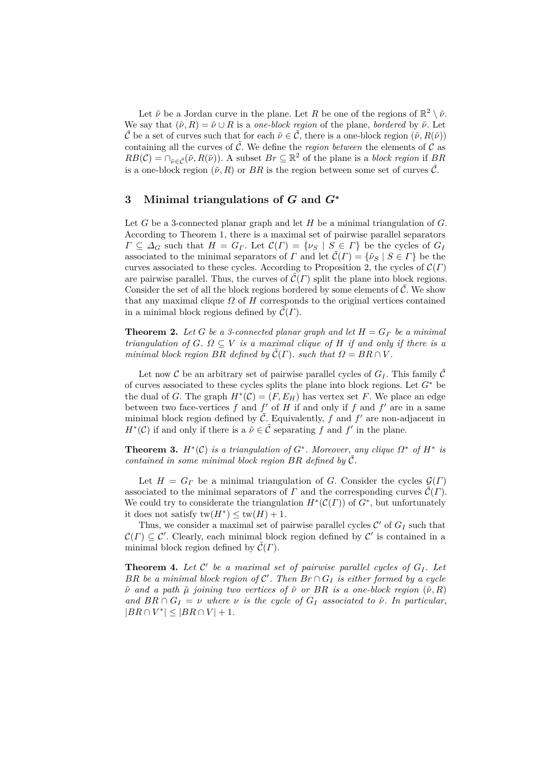Let  $\tilde{\nu}$  be a Jordan curve in the plane. Let *R* be one of the regions of  $\mathbb{R}^2 \setminus \tilde{\nu}$ . We say that  $(\tilde{\nu}, R) = \tilde{\nu} \cup R$  is a *one-block region* of the plane, *bordered* by  $\tilde{\nu}$ . Let  $\tilde{\mathcal{C}}$  be a set of curves such that for each  $\tilde{\nu} \in \tilde{\mathcal{C}}$ , there is a one-block region  $(\tilde{\nu}, R(\tilde{\nu}))$ containing all the curves of  $\tilde{C}$ . We define the *region between* the elements of  $C$  as  $RB(\mathcal{C}) = \cap_{\tilde{\nu} \in \tilde{\mathcal{C}}} (\tilde{\nu}, R(\tilde{\nu}))$ . A subset  $Br \subseteq \mathbb{R}^2$  of the plane is a *block region* if *BR* is a one-block region  $(\tilde{\nu}, R)$  or *BR* is the region between some set of curves  $\tilde{\mathcal{C}}$ .

#### **3 Minimal triangulations of** *G* **and** *G<sup>∗</sup>*

Let *G* be a 3-connected planar graph and let *H* be a minimal triangulation of *G*. According to Theorem 1, there is a maximal set of pairwise parallel separators  $\Gamma \subseteq \Delta_G$  such that  $H = G_\Gamma$ . Let  $\mathcal{C}(\Gamma) = \{ \nu_S \mid S \in \Gamma \}$  be the cycles of  $G_I$ associated to the minimal separators of *Γ* and let  $\tilde{C}(F) = {\tilde{\nu}_S \mid S \in \Gamma}$  be the curves associated to these cycles. According to Proposition 2, the cycles of  $\mathcal{C}(\Gamma)$ are pairwise parallel. Thus, the curves of  $\tilde{\mathcal{C}}(\Gamma)$  split the plane into block regions. Consider the set of all the block regions bordered by some elements of  $\tilde{C}$ . We show that any maximal clique  $\Omega$  of  $H$  corresponds to the original vertices contained in a minimal block regions defined by  $\mathcal{C}(\Gamma)$ .

**Theorem 2.** Let *G* be a 3-connected planar graph and let  $H = G_F$  be a minimal *triangulation of*  $G$ *.*  $\Omega \subseteq V$  *is a maximal clique of*  $H$  *if and only if there is a minimal block region*  $BR$  *defined by*  $\tilde{C}(\Gamma)$ *. such that*  $\Omega = BR \cap V$ *.* 

Let now *C* be an arbitrary set of pairwise parallel cycles of  $G_I$ . This family  $\tilde{C}$ of curves associated to these cycles splits the plane into block regions. Let *G<sup>∗</sup>* be the dual of *G*. The graph  $H^*(\mathcal{C}) = (F, E_H)$  has vertex set *F*. We place an edge between two face-vertices  $f$  and  $f'$  of  $H$  if and only if  $f$  and  $f'$  are in a same minimal block region defined by  $\tilde{C}$ . Equivalently,  $f$  and  $f'$  are non-adjacent in *H*<sup>\*</sup>(*C*) if and only if there is a  $\tilde{\nu} \in \tilde{C}$  separating *f* and *f*' in the plane.

**Theorem 3.**  $H^*(\mathcal{C})$  *is a triangulation of*  $G^*$ *. Moreover, any clique*  $\Omega^*$  *of*  $H^*$  *is contained in some minimal block region*  $BR$  *defined by*  $\tilde{C}$ *.* 

Let  $H = G<sub>\Gamma</sub>$  be a minimal triangulation of *G*. Consider the cycles  $\mathcal{G}(\Gamma)$ associated to the minimal separators of *Γ* and the corresponding curves  $\tilde{\mathcal{C}}(\Gamma)$ . We could try to considerate the triangulation  $H^*(\mathcal{C}(\Gamma))$  of  $G^*$ , but unfortunately it does not satisfy  $\text{tw}(H^*) \leq \text{tw}(H) + 1$ .

Thus, we consider a maximal set of pairwise parallel cycles  $\mathcal{C}'$  of  $G_I$  such that  $\mathcal{C}(\Gamma) \subseteq \mathcal{C}'$ . Clearly, each minimal block region defined by  $\mathcal{C}'$  is contained in a minimal block region defined by  $\mathcal{C}(\Gamma)$ .

**Theorem 4.** Let  $C'$  be a maximal set of pairwise parallel cycles of  $G_I$ . Let *BR be a minimal block region of*  $C'$ *. Then*  $Br \cap G_I$  *is either formed by a cycle ν*˜ *and a path µ*˜ *joining two vertices of ν*˜ *or BR is a one-block region* (*ν, R* ˜ ) *and*  $BR \cap G_I = \nu$  where  $\nu$  *is the cycle of*  $G_I$  *associated to*  $\tilde{\nu}$ *. In particular,*  $|BR \cap V^*| \leq |BR \cap V| + 1$ .